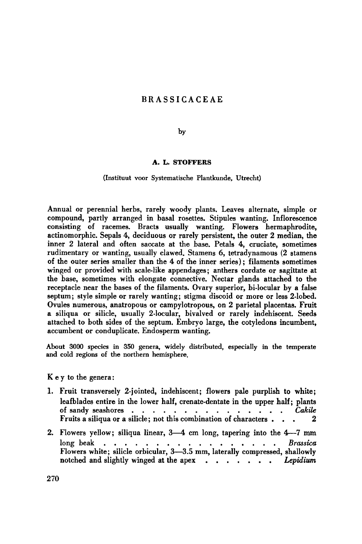# **BRASSICACEAE**

## by

## A. L. STOFFERS

### (Instituut voor Systematische Plantkunde, Utrecht)

Annual or perennial herbs, rarely woody plants. Leaves alternate, simple or compound, partly arranged in basal rosettes. Stipules wanting. Inflorescence consisting of racemes. Bracts usually wanting. Flowers hermaphrodite, actinomorphic. Sepals 4, deciduous or rarely persistent, the outer 2 median, the inner 2 lateral and often saccate at the base. Petals 4, cruciate, sometimes rudimentary or wanting, usually clawed. Stamens 6, tetradynamous (2 stamens of the outer series smaller than the 4 of the inner series); filaments sometimes winged or provided with scale-like appendages; anthers cordate or sagittate at the base, sometimes with elongate connective. Nectar glands attached to the receptacle near the bases of the filaments. Ovary superior, bi-locular by <sup>a</sup> false septum; style simple or rarely wanting; stigma discoid or more or less 2-lobed. Ovules numerous, anatropous or campylotropous, on <sup>2</sup> parietal placentas. Fruit a siliqua or silicle, usually 2-locular, bivalved or rarely indehiscent. Seeds attached to both sides of the septum. Embryo large, the cotyledons incumbent, accumbent or conduplicate. Endosperm wanting.

About <sup>3000</sup> species in <sup>350</sup> genera, widely distributed, especially in the temperate and cold regions of the northern hemisphere.

Key to the genera:

- 1. Fruit transversely 2-jointed, indehiscent; flowers pale purplish to white; leafblades entire in the lower half, crenate-dentate in the upper half; plants of sandy seashores  $\cdots$ ,  $\cdots$ ,  $\cdots$ ,  $\cdots$ ,  $\cdots$ ,  $\cdots$ ,  $\cdots$ ,  $\cdots$ ,  $\cdots$ ,  $\cdots$ ,  $\cdots$ ,  $\cdots$ ,  $\cdots$ ,  $\cdots$ ,  $\cdots$ ,  $\cdots$ ,  $\cdots$ ,  $\cdots$ ,  $\cdots$ ,  $\cdots$ ,  $\cdots$ ,  $\cdots$ ,  $\cdots$ ,  $\cdots$ ,  $\cdots$ ,  $\cdots$ ,  $\cdots$ ,  $\cdots$ ,  $\cdots$ , Fruits <sup>a</sup> siliqua or <sup>a</sup> silicle; not this combination of characters ... 2
- 2. Flowers yellow; siliqua linear, 3—4 cm long, tapering into the 4—7 mm long beak , , , , , , , , , , , , , , , , , ,  $Brassica$ Flowers white; silicle orbicular, 3—3.5 mm, laterally compressed, shallowly notched and slightly winged at the apex . . . . . . Lepidium

270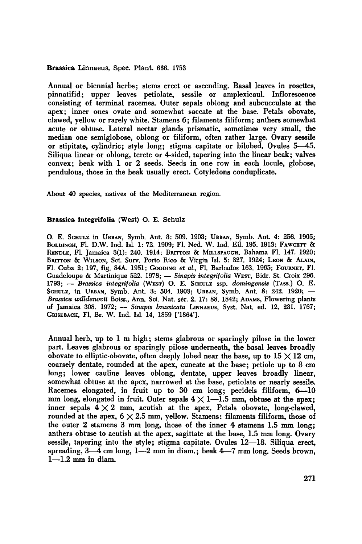Brassica Linnaeus, Spec. Plant. 666. <sup>1753</sup>

Annual or biennial herbs; stems erect or ascending. Basal leaves in rosettes, pinnatifid; upper leaves petiolate, sessile or amplexicaul. Inflorescence consisting of terminal racemes. Outer sepals oblong and subcucculate at the apex; inner ones ovate and somewhat saccate at the base. Petals obovate, clawed, yellow or rarely white. Stamens 6; filaments filiform; anthers somewhat acute or obtuse. Lateral nectar glands prismatic, sometimes very small, the median one semiglobose, oblong or filiform, often rather large. Ovary sessile or stipitate, cylindric; style long; stigma capitate or bilobed. Ovules 5—45. Siliqua linear or oblong, terete or 4-sided, tapering into the linear beak; valves convex; beak with <sup>1</sup> or 2 seeds. Seeds in one row in each locule, globose, pendulous, those in the beak usually erect. Cotyledons conduplicate.

About <sup>40</sup> species, natives of the Mediterranean region.

#### Brassica integrifolia (West) O. E. Schulz

O. E. SCHULZ in URBAN, Symb. Ant. 3: 509. 1903; URBAN\*, Symb. Ant. 4: 256. 1905; BOLDINGH, FL. D.W. Ind. Isl. 1: 72. 1909; FL, Ned. W. Ind. Eil. 195. 1913; FAWCETT & RENDLE, Fl. Jamaica 3(1); 240. 1914; BRITTON & MILLSPAUGH, Bahama Fl. 147. 1920; BRITTON & WILSON, Sci. Surv. Porto Rico & Virgin Isl. 5: 327. 1924; LEON & ALAIN, Fl. Cuba 2: 197, fig. 84A. 1951; GOODING etal., Fl. Barbados 163. 1965; FOURNET, Fl. Guadeloupe& Martinique 522. 1978; — Sinapis integrifolia WEST, Bidr. St. Croix 296. 1793; - Brassica integrifolia (WEST) O. E. SCHULZ ssp. domingensis (TASS.) O. E. SCHULZ, in URBAN, Symb. Ant. 3: 504. 1903; URBAN, Symb. Ant. 8: 242. 1920; — Brassica willdenovii Boiss., Ann. Sci. Nat. sér. 2. 17: 88. 1842; ADAMS, Flowering plants of Jamaica 308. 1972; — Sinapis brassicata LINNAEUS, Syst. Nat. ed. 12. 231. 1767; GRISEBACH, Fl. Br. W. Ind. Isl. 14. 1859 ['1864'].

Annual herb, up to <sup>1</sup> <sup>m</sup> high; stems glabrous or sparingly pilose in the lower part. Leaves glabrous or sparingly pilose underneath, the basal leaves broadly obovate to elliptic-obovate, often deeply lobed near the base, up to  $15 \times 12$  cm, coarsely dentate, rounded at the apex, cuneate at the base; petiole up to 8 cm long; lower cauline leaves oblong, dentate, upper leaves broadly linear, somewhat obtuse at the apex, narrowed at the base, petiolate or nearly sessile. Racemes elongated, in fruit up to <sup>30</sup> cm long; pecidels filiform, 6—10 mm long, elongated in fruit. Outer sepals  $4 \times 1-1.5$  mm, obtuse at the apex; inner sepals  $4 \times 2$  mm, acutish at the apex. Petals obovate, long-clawed, rounded at the apex,  $6 \times 2.5$  mm, yellow. Stamens: filaments filiform, those of the outer <sup>2</sup> stamens <sup>3</sup> mm long, those of the inner 4 stamens 1.5 mm long; anthers obtuse to acutish at the apex, sagittate at the base, 1.5 mm long. Ovary sessile, tapering into the style; stigma capitate. Ovules 12—18. Siliqua erect, spreading, 3—4 cm long, 1—2 mm in diam.; beak 4—7 mm long. Seeds brown,  $1-1.2$  mm in diam.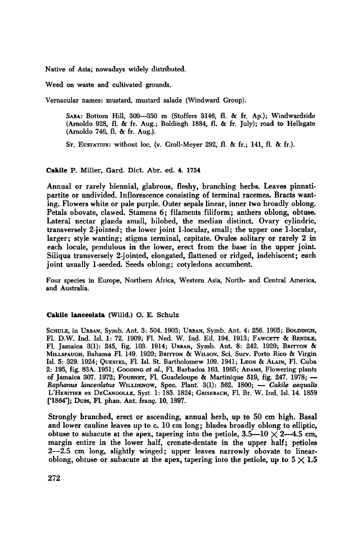Native of Asia; nowadays widely distributed.

Weed on waste and cultivated grounds

Vernacular names: mustard, mustard salade (Windward Group).

SABA: Bottom Hill, 300—350 m (Stoffers 3146, fl. & fr. Ap.); Windwardside (Arnoldo 928, fl. & fr. Aug.; Boldingh 1884, fl. & fr. July); road to Hellsgate (Arnoldo 746, fl. & fr. Aug.).

ST. EUSTATIUS: without loc. (v. Groll-Meyer 292, fl. & fr.; 141, fl. & fr.)

## Cakile P. Miller, Gard. Diet. Abr. ed. 4. <sup>1754</sup>

Annual or rarely biennial, glabrous, fleshy, branching herbs. Leaves pinnatipartite or undivided. Inflorescence consisting of terminal racemes. Bracts wanting. Flowers white or pale purple. Outer sepals linear, inner two broadly oblong. Petals obovate, clawed. Stamens 6; filaments filiform; anthers oblong, obtuse. Lateral nectar glands small, bilobed, the median distinct. Ovary cylindric, transversely 2-jointed; the lower joint 1-locular, small; the upper one 1-locular, larger; style wanting; stigma terminal, capitate. Ovules solitary or rarely 2 in each locule, pendulous in the lower, erect from the base in the upper joint. Siliqua transversely 2-jointed, elongated, flattened or ridged, indehiscent; each joint usually 1-seeded. Seeds oblong; cotyledons accumbent.

Four species in Europe, Northern Africa, Western Asia, North- and Central America, and Australia.

#### Cakile lanceolata (Willd.) O. E. Schulz

SCHULZ, in UBBAN, Symb. Ant. 3: 504. 1903; URBAN, Symb. Ant. 4: 256. 1905; BOLDINCH, FL. D.W. Ind. Isl. 1: 72. 1909; FL. Ned. W. Ind. Eil. 194. 1913; FAWCETT & RENDLE, Fl. Jamaica 3(1): 245, fig. 103. 1914; UBBAN, Symb. Ant. 8: 242. 1920; BBITTON & MILLSPAUGH, Bahama Fl. 149. 1920; BBITTON & WILSON, Sci. Surv. Porto Rico & Virgin Isl. 5: 329. 1924; QUESTEL, Fl. Isl. St. Bartholomew 109. 1941; LEON & ALAIN, Fl. Cuba 2: 195, fig. 83A. 1951; GOODING et al., Fl. Barbados 163. 1965; ADAMS, Flowering plants of Jamaica 307. 1972; FOURNET, Fl. Guadeloupe & Martinique 519, fig. 247. 1978; — Raphanus lanceolatus WILLDENOW, Spec. Plant. 3(1): 562. 1800; — Cakile aequalis L'HERITIER ex DECANDOLLE, Syst. 1: 185. 1824; GRISEBACH, Fl. Br. W. Ind. Isl. 14. <sup>1859</sup> ['1864']; Duss, Fl. phan. Ant. franç. 10. 1897.

Strongly branched, erect or ascending, annual herb, up to <sup>50</sup> cm high. Basal and lower cauline leaves up to c. <sup>10</sup> cm long; blades broadly oblong to elliptic, obtuse to subacute at the apex, tapering into the petiole,  $3.5-10 \times 2-4.5$  cm, margin entire in the lower half, crenate-dentate in the upper half; petioles  $2-2.5$  cm long, slightly winged; upper leaves narrowly obovate to linearoblong, obtuse or subacute at the apex, tapering into the petiole, up to  $5 \times 1.5$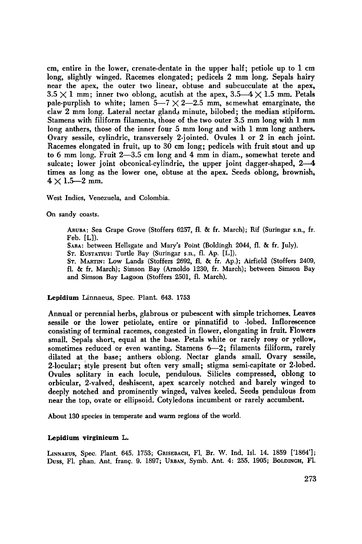cm, entire in the lower, crenate-dentate in the upper half; petiole up to <sup>1</sup> cm long, slightly winged. Racemes elongated; pedicels 2 mm long. Sepals hairy near the apex, the outer two linear, obtuse and subcucculate at the apex,  $3.5 \times 1$  mm; inner two oblong, acutish at the apex,  $3.5-4 \times 1.5$  mm. Petals pale-purplish to white; lamen  $5-7 \times 2-2.5$  mm, somewhat emarginate, the claw <sup>2</sup> mm long. Lateral nectar glands minute, bilobed; the median stipiform. Stamens with filiform filaments, those of the two outer 3.5 mm long with <sup>1</sup> mm long anthers, those of the inner four <sup>5</sup> mm long and with <sup>1</sup> mm long anthers. Ovary sessile, cylindric, transversely 2-jointed. Ovules <sup>1</sup> or 2 in each joint. Racemes elongated in fruit, up to <sup>30</sup> cm long; pedicels with fruit stout and up to 6 mm long. Fruit 2—3.5 cm long and 4 mm in diam., somewhat terete and sulcate; lower joint obconical-cylindric, the upper joint dagger-shaped, 2-4 times as long as the lower one, obtuse at the apex. Seeds oblong, brownish,  $4 \times 1.5 - 2$  mm.

West Indies, Venezuela, and Colombia.

On sandy coasts.

ARUBA: Sea Grape Grove (Stoffers 6257, fl. & fr. March); Rif (Suringar s.n., fr Feb. [L]). SABA: between Hellsgate and Mary's Point (Boldingh 2044, fl. & fr. July). ST. EUSTATIUS: Turtle Bay (Suringar s.n., fl. Ap. [L]). ST. MARTIN: Low Lands (Stoffers 2692, fl. & fr. Ap.); Airfield (Stoffers 2409. fl. & fr. March); Simson Bay (Arnoldo 1230, fr. March); between Simson Bay and Simson Bay Lagoon (Stoffers 2501, fl. March).

#### Lepidium Linnaeus, Spec. Plant. 643. <sup>1753</sup>

Annual or perennial herbs, glabrous or pubescent with simple trichomes. Leaves sessile or the lower petiolate, entire or pinnatifid to -lobed. Inflorescence consisting of terminal racemes, congested in flower, elongating in fruit. Flowers small. Sepals short, equal at the base. Petals white or rarely rosy or yellow, sometimes reduced or even wanting. Stamens 6—2; filaments filiform, rarely dilated at the base; anthers oblong. Nectar glands small. Ovary sessile, 2-locular; style present but often very small; stigma semi-capitate or 2-lobed. Ovules splitary in each locule, pendulous. Silicles compressed, oblong to orbicular, 2-valved, deshiscent, apex scarcely notched and barely winged to deeply notched and prominently winged, valves keeled. Seeds pendulous from near the top, ovate or ellipsoid. Cotyledons incumbent or rarely accumbent.

About <sup>130</sup> species in temperate and warm regions of the world.

#### Lepidium virginicum L.

LINNAEUS, Spec. Plant. 645. 1753; GRISEBACH, Fl. Br. W. Ind. Isl. 14. <sup>1859</sup> ['1864']; Duss, Fl. phan. Ant. fran?. 9. 1897; URBAN, Symb. Ant. 4: 255. 1905; BOLDINGH, Fl.